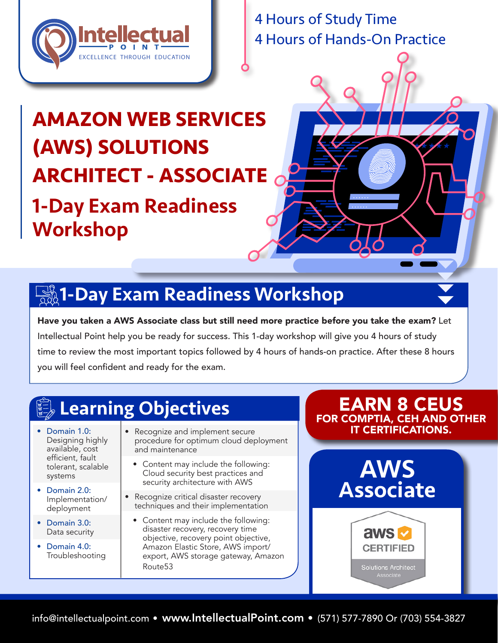

4 Hours of Study Time 4 Hours of Hands-On Practice

# **AMAZON WEB SERVICES (AWS) SOLUTIONS ARCHITECT - ASSOCIATE** 1-Day Exam Readiness Workshop

# $\overline{\mathbb{R}}\$ 1-Day Exam Readiness Workshop

Have you taken a AWS Associate class but still need more practice before you take the exam? Let Intellectual Point help you be ready for success. This 1-day workshop will give you 4 hours of study time to review the most important topics followed by 4 hours of hands-on practice. After these 8 hours you will feel confident and ready for the exam.

## Learning Objectives

• Domain 1.0: Designing highly available, cost efficient, fault tolerant, scalable systems

- Domain 2.0: Implementation/ deployment
- Domain 3.0: Data security
- Domain 4.0: Troubleshooting
- Recognize and implement secure procedure for optimum cloud deployment and maintenance
	- Content may include the following: Cloud security best practices and security architecture with AWS
- Recognize critical disaster recovery techniques and their implementation
	- Content may include the following: disaster recovery, recovery time objective, recovery point objective, Amazon Elastic Store, AWS import/ export, AWS storage gateway, Amazon Route53

### EARN 8 CEUS FOR COMPTIA, CEH AND OTHER IT CERTIFICATIONS.